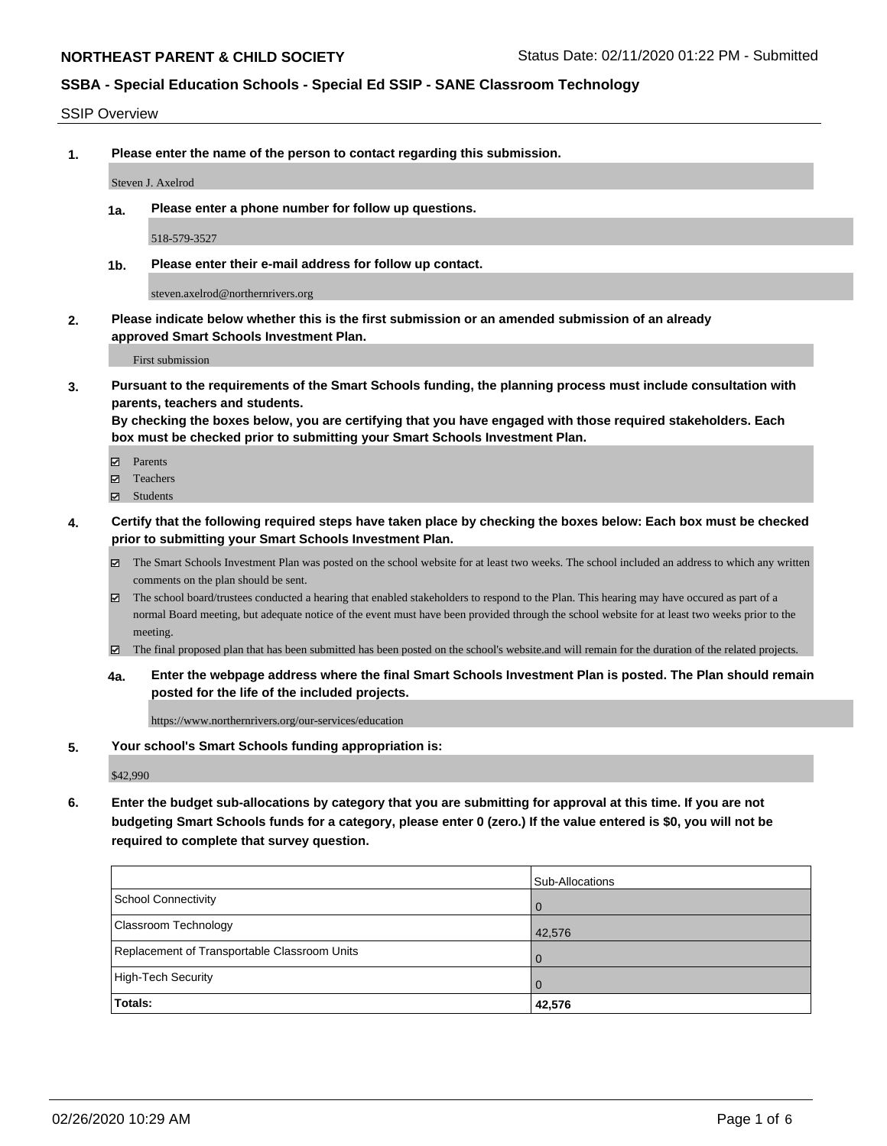#### SSIP Overview

**1. Please enter the name of the person to contact regarding this submission.**

Steven J. Axelrod

**1a. Please enter a phone number for follow up questions.**

518-579-3527

**1b. Please enter their e-mail address for follow up contact.**

steven.axelrod@northernrivers.org

**2. Please indicate below whether this is the first submission or an amended submission of an already approved Smart Schools Investment Plan.**

First submission

**3. Pursuant to the requirements of the Smart Schools funding, the planning process must include consultation with parents, teachers and students.**

**By checking the boxes below, you are certifying that you have engaged with those required stakeholders. Each box must be checked prior to submitting your Smart Schools Investment Plan.**

- Parents
- Teachers
- Students
- **4. Certify that the following required steps have taken place by checking the boxes below: Each box must be checked prior to submitting your Smart Schools Investment Plan.**
	- The Smart Schools Investment Plan was posted on the school website for at least two weeks. The school included an address to which any written comments on the plan should be sent.
	- The school board/trustees conducted a hearing that enabled stakeholders to respond to the Plan. This hearing may have occured as part of a normal Board meeting, but adequate notice of the event must have been provided through the school website for at least two weeks prior to the meeting.
	- The final proposed plan that has been submitted has been posted on the school's website.and will remain for the duration of the related projects.
	- **4a. Enter the webpage address where the final Smart Schools Investment Plan is posted. The Plan should remain posted for the life of the included projects.**

https://www.northernrivers.org/our-services/education

**5. Your school's Smart Schools funding appropriation is:**

\$42,990

**6. Enter the budget sub-allocations by category that you are submitting for approval at this time. If you are not budgeting Smart Schools funds for a category, please enter 0 (zero.) If the value entered is \$0, you will not be required to complete that survey question.**

|                                              | Sub-Allocations |
|----------------------------------------------|-----------------|
| School Connectivity                          | <b>O</b>        |
| <b>Classroom Technology</b>                  | 42,576          |
| Replacement of Transportable Classroom Units | $\overline{0}$  |
| High-Tech Security                           | $\overline{0}$  |
| Totals:                                      | 42,576          |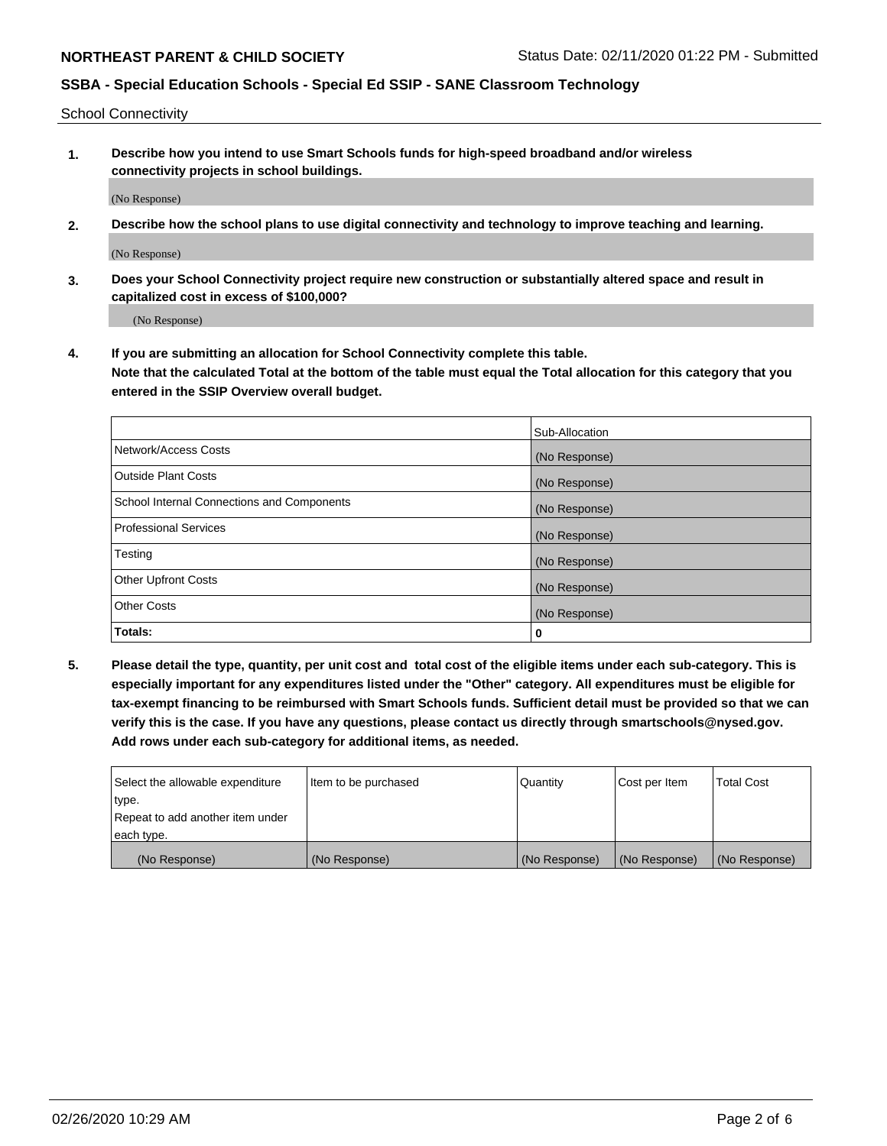School Connectivity

**1. Describe how you intend to use Smart Schools funds for high-speed broadband and/or wireless connectivity projects in school buildings.**

(No Response)

**2. Describe how the school plans to use digital connectivity and technology to improve teaching and learning.**

(No Response)

**3. Does your School Connectivity project require new construction or substantially altered space and result in capitalized cost in excess of \$100,000?**

(No Response)

**4. If you are submitting an allocation for School Connectivity complete this table. Note that the calculated Total at the bottom of the table must equal the Total allocation for this category that you entered in the SSIP Overview overall budget.** 

|                                            | Sub-Allocation |
|--------------------------------------------|----------------|
| Network/Access Costs                       | (No Response)  |
| Outside Plant Costs                        | (No Response)  |
| School Internal Connections and Components | (No Response)  |
| <b>Professional Services</b>               | (No Response)  |
| Testing                                    | (No Response)  |
| Other Upfront Costs                        | (No Response)  |
| <b>Other Costs</b>                         | (No Response)  |
| Totals:                                    | 0              |

**5. Please detail the type, quantity, per unit cost and total cost of the eligible items under each sub-category. This is especially important for any expenditures listed under the "Other" category. All expenditures must be eligible for tax-exempt financing to be reimbursed with Smart Schools funds. Sufficient detail must be provided so that we can verify this is the case. If you have any questions, please contact us directly through smartschools@nysed.gov. Add rows under each sub-category for additional items, as needed.**

| each type.<br>(No Response)      | (No Response)          | (No Response) | (No Response) | (No Response)     |
|----------------------------------|------------------------|---------------|---------------|-------------------|
|                                  |                        |               |               |                   |
| Repeat to add another item under |                        |               |               |                   |
| ∣type.                           |                        |               |               |                   |
| Select the allowable expenditure | I Item to be purchased | Quantity      | Cost per Item | <b>Total Cost</b> |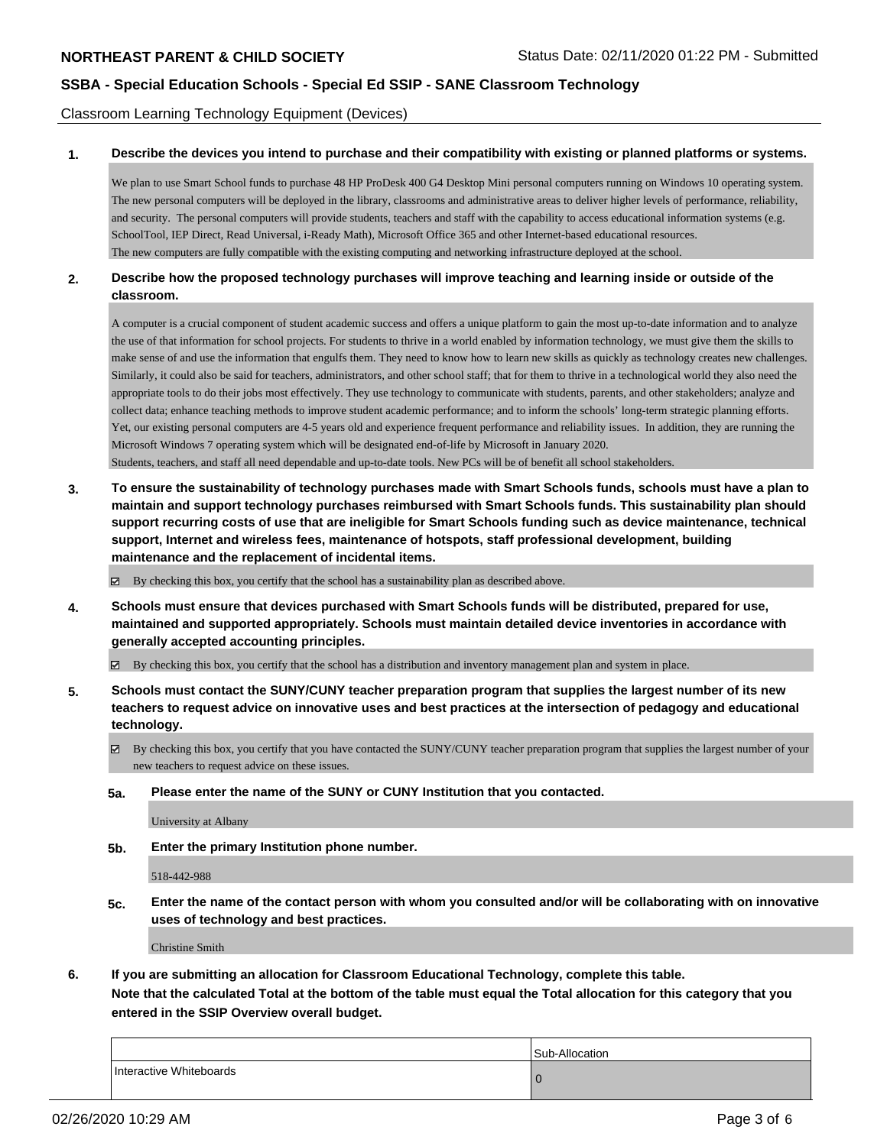Classroom Learning Technology Equipment (Devices)

### **1. Describe the devices you intend to purchase and their compatibility with existing or planned platforms or systems.**

We plan to use Smart School funds to purchase 48 HP ProDesk 400 G4 Desktop Mini personal computers running on Windows 10 operating system. The new personal computers will be deployed in the library, classrooms and administrative areas to deliver higher levels of performance, reliability, and security. The personal computers will provide students, teachers and staff with the capability to access educational information systems (e.g. SchoolTool, IEP Direct, Read Universal, i-Ready Math), Microsoft Office 365 and other Internet-based educational resources. The new computers are fully compatible with the existing computing and networking infrastructure deployed at the school.

### **2. Describe how the proposed technology purchases will improve teaching and learning inside or outside of the classroom.**

A computer is a crucial component of student academic success and offers a unique platform to gain the most up-to-date information and to analyze the use of that information for school projects. For students to thrive in a world enabled by information technology, we must give them the skills to make sense of and use the information that engulfs them. They need to know how to learn new skills as quickly as technology creates new challenges. Similarly, it could also be said for teachers, administrators, and other school staff; that for them to thrive in a technological world they also need the appropriate tools to do their jobs most effectively. They use technology to communicate with students, parents, and other stakeholders; analyze and collect data; enhance teaching methods to improve student academic performance; and to inform the schools' long-term strategic planning efforts. Yet, our existing personal computers are 4-5 years old and experience frequent performance and reliability issues. In addition, they are running the Microsoft Windows 7 operating system which will be designated end-of-life by Microsoft in January 2020. Students, teachers, and staff all need dependable and up-to-date tools. New PCs will be of benefit all school stakeholders.

**3. To ensure the sustainability of technology purchases made with Smart Schools funds, schools must have a plan to maintain and support technology purchases reimbursed with Smart Schools funds. This sustainability plan should support recurring costs of use that are ineligible for Smart Schools funding such as device maintenance, technical support, Internet and wireless fees, maintenance of hotspots, staff professional development, building maintenance and the replacement of incidental items.**

By checking this box, you certify that the school has a sustainability plan as described above.

**4. Schools must ensure that devices purchased with Smart Schools funds will be distributed, prepared for use, maintained and supported appropriately. Schools must maintain detailed device inventories in accordance with generally accepted accounting principles.**

 $\boxtimes$  By checking this box, you certify that the school has a distribution and inventory management plan and system in place.

**5. Schools must contact the SUNY/CUNY teacher preparation program that supplies the largest number of its new teachers to request advice on innovative uses and best practices at the intersection of pedagogy and educational technology.**

By checking this box, you certify that you have contacted the SUNY/CUNY teacher preparation program that supplies the largest number of your new teachers to request advice on these issues.

**5a. Please enter the name of the SUNY or CUNY Institution that you contacted.**

University at Albany

**5b. Enter the primary Institution phone number.**

518-442-988

**5c. Enter the name of the contact person with whom you consulted and/or will be collaborating with on innovative uses of technology and best practices.**

Christine Smith

**6. If you are submitting an allocation for Classroom Educational Technology, complete this table.**

**Note that the calculated Total at the bottom of the table must equal the Total allocation for this category that you entered in the SSIP Overview overall budget.**

|                         | Sub-Allocation |
|-------------------------|----------------|
| Interactive Whiteboards |                |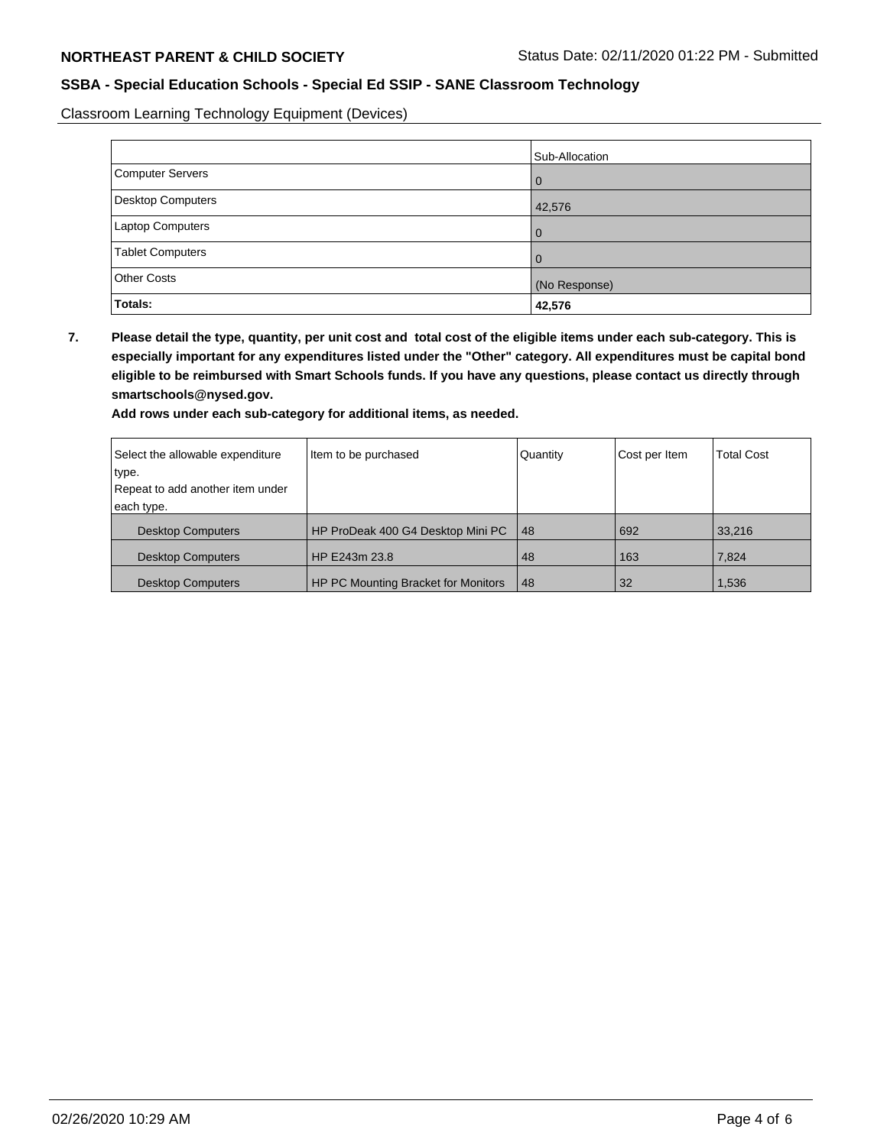Classroom Learning Technology Equipment (Devices)

|                          | Sub-Allocation |
|--------------------------|----------------|
| Computer Servers         | l O            |
| <b>Desktop Computers</b> | 42,576         |
| Laptop Computers         | l O            |
| <b>Tablet Computers</b>  | l 0            |
| <b>Other Costs</b>       | (No Response)  |
| Totals:                  | 42,576         |

**7. Please detail the type, quantity, per unit cost and total cost of the eligible items under each sub-category. This is especially important for any expenditures listed under the "Other" category. All expenditures must be capital bond eligible to be reimbursed with Smart Schools funds. If you have any questions, please contact us directly through smartschools@nysed.gov.**

**Add rows under each sub-category for additional items, as needed.**

| Select the allowable expenditure | Item to be purchased                       | Quantity | Cost per Item | <b>Total Cost</b> |
|----------------------------------|--------------------------------------------|----------|---------------|-------------------|
| type.                            |                                            |          |               |                   |
| Repeat to add another item under |                                            |          |               |                   |
| each type.                       |                                            |          |               |                   |
| <b>Desktop Computers</b>         | HP ProDeak 400 G4 Desktop Mini PC          | 48       | 692           | 33,216            |
| <b>Desktop Computers</b>         | HP E243m 23.8                              | 48       | 163           | 7,824             |
| <b>Desktop Computers</b>         | <b>HP PC Mounting Bracket for Monitors</b> | 48       | -32           | 1,536             |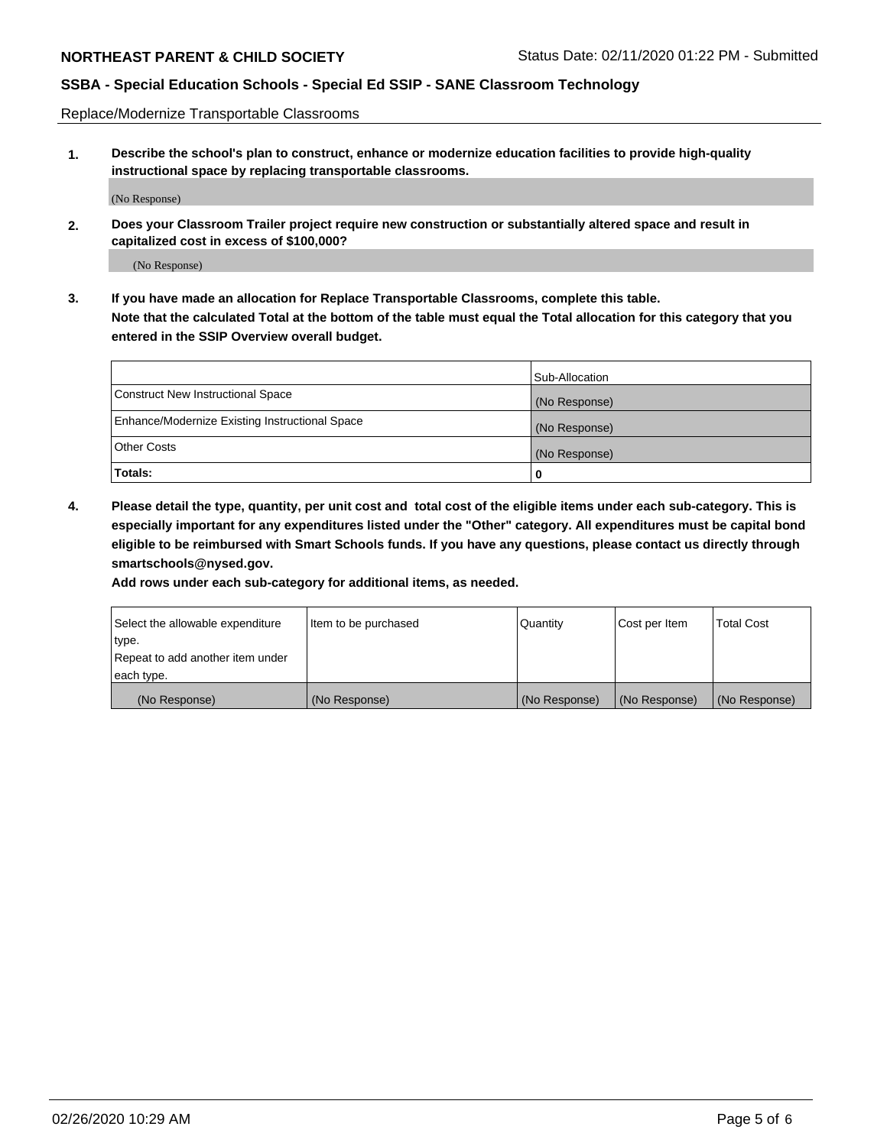Replace/Modernize Transportable Classrooms

**1. Describe the school's plan to construct, enhance or modernize education facilities to provide high-quality instructional space by replacing transportable classrooms.**

(No Response)

**2. Does your Classroom Trailer project require new construction or substantially altered space and result in capitalized cost in excess of \$100,000?**

(No Response)

**3. If you have made an allocation for Replace Transportable Classrooms, complete this table. Note that the calculated Total at the bottom of the table must equal the Total allocation for this category that you entered in the SSIP Overview overall budget.**

|                                                | Sub-Allocation |
|------------------------------------------------|----------------|
| Construct New Instructional Space              | (No Response)  |
| Enhance/Modernize Existing Instructional Space | (No Response)  |
| Other Costs                                    | (No Response)  |
| Totals:                                        | 0              |

**4. Please detail the type, quantity, per unit cost and total cost of the eligible items under each sub-category. This is especially important for any expenditures listed under the "Other" category. All expenditures must be capital bond eligible to be reimbursed with Smart Schools funds. If you have any questions, please contact us directly through smartschools@nysed.gov.**

**Add rows under each sub-category for additional items, as needed.**

| Select the allowable expenditure | Item to be purchased | Quantity      | Cost per Item | <b>Total Cost</b> |
|----------------------------------|----------------------|---------------|---------------|-------------------|
| 'type.                           |                      |               |               |                   |
| Repeat to add another item under |                      |               |               |                   |
| each type.                       |                      |               |               |                   |
| (No Response)                    | (No Response)        | (No Response) | (No Response) | (No Response)     |